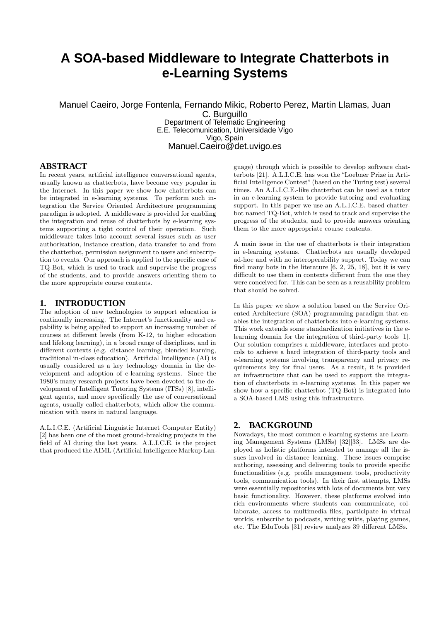# **A SOA-based Middleware to Integrate Chatterbots in e-Learning Systems**

Manuel Caeiro, Jorge Fontenla, Fernando Mikic, Roberto Perez, Martin Llamas, Juan C. Burguillo Department of Telematic Engineering

> E.E. Telecomunication, Universidade Vigo Vigo, Spain Manuel.Caeiro@det.uvigo.es

# **ABSTRACT**

In recent years, artificial intelligence conversational agents, usually known as chatterbots, have become very popular in the Internet. In this paper we show how chatterbots can be integrated in e-learning systems. To perform such integration the Service Oriented Architecture programming paradigm is adopted. A middleware is provided for enabling the integration and reuse of chatterbots by e-learning systems supporting a tight control of their operation. Such middleware takes into account several issues such as user authorization, instance creation, data transfer to and from the chatterbot, permission assignment to users and subscription to events. Our approach is applied to the specific case of TQ-Bot, which is used to track and supervise the progress of the students, and to provide answers orienting them to the more appropriate course contents.

# **1. INTRODUCTION**

The adoption of new technologies to support education is continually increasing. The Internet's functionality and capability is being applied to support an increasing number of courses at different levels (from K-12, to higher education and lifelong learning), in a broad range of disciplines, and in different contexts (e.g. distance learning, blended learning, traditional in-class education). Artificial Intelligence (AI) is usually considered as a key technology domain in the development and adoption of e-learning systems. Since the 1980's many research projects have been devoted to the development of Intelligent Tutoring Systems (ITSs) [8], intelligent agents, and more specifically the use of conversational agents, usually called chatterbots, which allow the communication with users in natural language.

A.L.I.C.E. (Artificial Linguistic Internet Computer Entity) [2] has been one of the most ground-breaking projects in the field of AI during the last years. A.L.I.C.E. is the project that produced the AIML (Artificial Intelligence Markup Lan-

guage) through which is possible to develop software chatterbots [21]. A.L.I.C.E. has won the "Loebner Prize in Artificial Intelligence Contest" (based on the Turing test) several times. An A.L.I.C.E.-like chatterbot can be used as a tutor in an e-learning system to provide tutoring and evaluating support. In this paper we use an A.L.I.C.E. based chatterbot named TQ-Bot, which is used to track and supervise the progress of the students, and to provide answers orienting them to the more appropriate course contents.

A main issue in the use of chatterbots is their integration in e-learning systems. Chatterbots are usually developed ad-hoc and with no interoperability support. Today we can find many bots in the literature [6, 2, 25, 18], but it is very difficult to use them in contexts different from the one they were conceived for. This can be seen as a reusability problem that should be solved.

In this paper we show a solution based on the Service Oriented Architecture (SOA) programming paradigm that enables the integration of chatterbots into e-learning systems. This work extends some standardization initiatives in the elearning domain for the integration of third-party tools [1]. Our solution comprises a middleware, interfaces and protocols to achieve a hard integration of third-party tools and e-learning systems involving transparency and privacy requirements key for final users. As a result, it is provided an infrastructure that can be used to support the integration of chatterbots in e-learning systems. In this paper we show how a specific chatterbot (TQ-Bot) is integrated into a SOA-based LMS using this infrastructure.

### **2. BACKGROUND**

Nowadays, the most common e-learning systems are Learning Management Systems (LMSs) [32][33]. LMSs are deployed as holistic platforms intended to manage all the issues involved in distance learning. These issues comprise authoring, assessing and delivering tools to provide specific functionalities (e.g. profile management tools, productivity tools, communication tools). In their first attempts, LMSs were essentially repositories with lots of documents but very basic functionality. However, these platforms evolved into rich environments where students can communicate, collaborate, access to multimedia files, participate in virtual worlds, subscribe to podcasts, writing wikis, playing games, etc. The EduTools [31] review analyzes 39 different LMSs.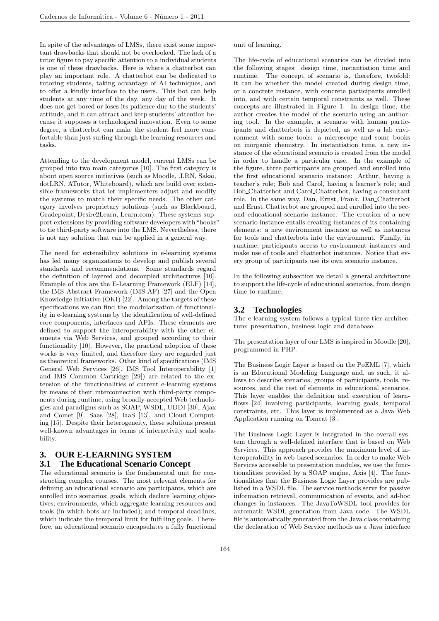In spite of the advantages of LMSs, there exist some important drawbacks that should not be overlooked. The lack of a tutor figure to pay specific attention to a individual students is one of these drawbacks. Here is where a chatterbot can play an important role. A chatterbot can be dedicated to tutoring students, taking advantage of AI techniques, and to offer a kindly interface to the users. This bot can help students at any time of the day, any day of the week. It does not get bored or loses its patience due to the students' attitude, and it can attract and keep students' attention because it supposes a technological innovation. Even to some degree, a chatterbot can make the student feel more comfortable than just surfing through the learning resources and tasks.

Attending to the development model, current LMSs can be grouped into two main categories [10]. The first category is about open source initiatives (such as Moodle, .LRN, Sakai, dotLRN, ATutor, Whiteboard), which are build over extensible frameworks that let implementers adjust and modify the systems to match their specific needs. The other category involves proprietary solutions (such as Blackboard, Gradepoint, Desire2Learn, Learn.com). These systems support extensions by providing software developers with"hooks" to tie third-party software into the LMS. Nevertheless, there is not any solution that can be applied in a general way.

The need for extensibility solutions in e-learning systems has led many organizations to develop and publish several standards and recommendations. Some standards regard the definition of layered and decoupled architectures [10]. Example of this are the E-Learning Framework (ELF) [14], the IMS Abstract Framework (IMS-AF) [27] and the Open Knowledge Initiative (OKI) [22]. Among the targets of these specifications we can find the modularization of functionality in e-learning systems by the identification of well-defined core components, interfaces and APIs. These elements are defined to support the interoperability with the other elements via Web Services, and grouped according to their functionality [10]. However, the practical adoption of these works is very limited, and therefore they are regarded just as theoretical frameworks. Other kind of specifications (IMS General Web Services [26], IMS Tool Interoperability [1] and IMS Common Cartridge [29]) are related to the extension of the functionalities of current e-learning systems by means of their interconnection with third-party components during runtime, using broadly-accepted Web technologies and paradigms such as SOAP, WSDL, UDDI [30], Ajax and Comet [9], Saas [28], IaaS [13], and Cloud Computing [15]. Despite their heterogeneity, these solutions present well-known advantages in terms of interactivity and scalability.

# **3. OUR E-LEARNING SYSTEM 3.1 The Educational Scenario Concept**

The educational scenario is the fundamental unit for constructing complex courses. The most relevant elements for defining an educational scenario are participants, which are enrolled into scenarios; goals, which declare learning objectives; environments, which aggregate learning resources and tools (in which bots are included); and temporal deadlines, which indicate the temporal limit for fulfilling goals. Therefore, an educational scenario encapsulates a fully functional unit of learning.

The life-cycle of educational scenarios can be divided into the following stages: design time, instantiation time and runtime. The concept of scenario is, therefore, twofold: it can be whether the model created during design time, or a concrete instance, with concrete participants enrolled into, and with certain temporal constraints as well. These concepts are illustrated in Figure 1. In design time, the author creates the model of the scenario using an authoring tool. In the example, a scenario with human participants and chatterbots is depicted, as well as a lab environment with some tools: a microscope and some books on inorganic chemistry. In instantiation time, a new instance of the educational scenario is created from the model in order to handle a particular case. In the example of the figure, three participants are grouped and enrolled into the first educational scenario instance: Arthur, having a teacher's role; Bob and Carol, having a learner's role; and Bob Chatterbot and Carol Chatterbot, having a consultant role. In the same way, Dan, Ernst, Frank, Dan Chatterbot and Ernst<sub>-Chatterbot</sub> are grouped and enrolled into the second educational scenario instance. The creation of a new scenario instance entails creating instances of its containing elements: a new environment instance as well as instances for tools and chatterbots into the environment. Finally, in runtime, participants access to environment instances and make use of tools and chatterbot instances. Notice that every group of participants use its own scenario instance.

In the following subsection we detail a general architecture to support the life-cycle of educational scenarios, from design time to runtime.

### **3.2 Technologies**

The e-learning system follows a typical three-tier architecture: presentation, business logic and database.

The presentation layer of our LMS is inspired in Moodle [20], programmed in PHP.

The Business Logic Layer is based on the PoEML [7], which is an Educational Modeling Language and, as such, it allows to describe scenarios, groups of participants, tools, resources, and the rest of elements in educational scenarios. This layer enables the definition and execution of learnflows [24] involving participants, learning goals, temporal constraints, etc. This layer is implemented as a Java Web Application running on Tomcat [3].

The Business Logic Layer is integrated in the overall system through a well-defined interface that is based on Web Services. This approach provides the maximum level of interoperability in web-based scenarios. In order to make Web Services accessible to presentation modules, we use the functionalities provided by a SOAP engine, Axis [4]. The functionalities that the Business Logic Layer provides are published in a WSDL file. The service methods serve for passive information retrieval, communication of events, and ad-hoc changes in instances. The JavaToWSDL tool provides for automatic WSDL generation from Java code. The WSDL file is automatically generated from the Java class containing the declaration of Web Service methods as a Java interface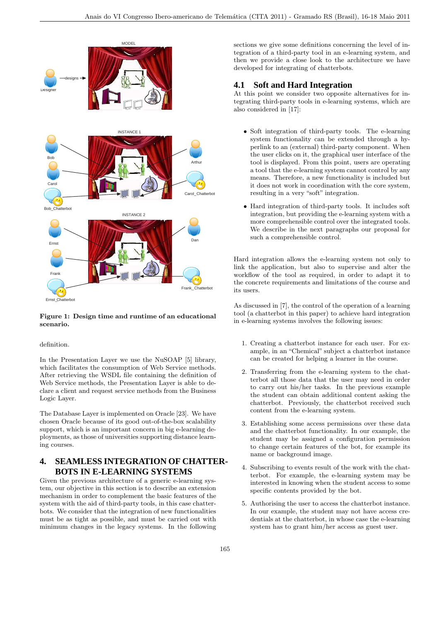

## Figure 1: Design time and runtime of an educational scenario.

#### definition.

In the Presentation Layer we use the NuSOAP [5] library, which facilitates the consumption of Web Service methods. After retrieving the WSDL file containing the definition of Web Service methods, the Presentation Layer is able to declare a client and request service methods from the Business Logic Layer.

The Database Layer is implemented on Oracle [23]. We have chosen Oracle because of its good out-of-the-box scalability support, which is an important concern in big e-learning deployments, as those of universities supporting distance learning courses.

# **4. SEAMLESS INTEGRATION OF CHATTER-BOTS IN E-LEARNING SYSTEMS**

Given the previous architecture of a generic e-learning system, our objective in this section is to describe an extension mechanism in order to complement the basic features of the system with the aid of third-party tools, in this case chatterbots. We consider that the integration of new functionalities must be as tight as possible, and must be carried out with minimum changes in the legacy systems. In the following sections we give some definitions concerning the level of integration of a third-party tool in an e-learning system, and then we provide a close look to the architecture we have developed for integrating of chatterbots.

# **4.1 Soft and Hard Integration**

At this point we consider two opposite alternatives for integrating third-party tools in e-learning systems, which are also considered in [17]:

- Soft integration of third-party tools. The e-learning system functionality can be extended through a hyperlink to an (external) third-party component. When the user clicks on it, the graphical user interface of the tool is displayed. From this point, users are operating a tool that the e-learning system cannot control by any means. Therefore, a new functionality is included but it does not work in coordination with the core system, resulting in a very "soft" integration.
- Hard integration of third-party tools. It includes soft integration, but providing the e-learning system with a more comprehensible control over the integrated tools. We describe in the next paragraphs our proposal for such a comprehensible control.

Hard integration allows the e-learning system not only to link the application, but also to supervise and alter the workflow of the tool as required, in order to adapt it to the concrete requirements and limitations of the course and its users.

As discussed in [7], the control of the operation of a learning tool (a chatterbot in this paper) to achieve hard integration in e-learning systems involves the following issues:

- 1. Creating a chatterbot instance for each user. For example, in an "Chemical" subject a chatterbot instance can be created for helping a learner in the course.
- 2. Transferring from the e-learning system to the chatterbot all those data that the user may need in order to carry out his/her tasks. In the previous example the student can obtain additional content asking the chatterbot. Previously, the chatterbot received such content from the e-learning system.
- 3. Establishing some access permissions over these data and the chatterbot functionality. In our example, the student may be assigned a configuration permission to change certain features of the bot, for example its name or background image.
- 4. Subscribing to events result of the work with the chatterbot. For example, the e-learning system may be interested in knowing when the student access to some specific contents provided by the bot.
- 5. Authorising the user to access the chatterbot instance. In our example, the student may not have access credentials at the chatterbot, in whose case the e-learning system has to grant him/her access as guest user.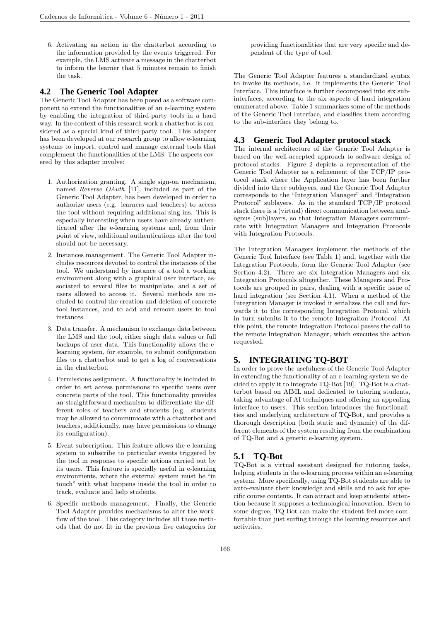6. Activating an action in the chatterbot according to the information provided by the events triggered. For example, the LMS activate a message in the chatterbot to inform the learner that 5 minutes remain to finish the task.

### **4.2 The Generic Tool Adapter**

The Generic Tool Adapter has been posed as a software component to extend the functionalities of an e-learning system by enabling the integration of third-party tools in a hard way. In the context of this research work a chatterbot is considered as a special kind of third-party tool. This adapter has been developed at our research group to allow e-learning systems to import, control and manage external tools that complement the functionalities of the LMS. The aspects covered by this adapter involve:

- 1. Authorization granting. A single sign-on mechanism, named Reverse OAuth [11], included as part of the Generic Tool Adapter, has been developed in order to authorize users (e.g. learners and teachers) to access the tool without requiring additional sing-ins. This is especially interesting when users have already authenticated after the e-learning systems and, from their point of view, additional authentications after the tool should not be necessary.
- 2. Instances management. The Generic Tool Adapter includes resources devoted to control the instances of the tool. We understand by instance of a tool a working environment along with a graphical user interface, associated to several files to manipulate, and a set of users allowed to access it. Several methods are included to control the creation and deletion of concrete tool instances, and to add and remove users to tool instances.
- 3. Data transfer. A mechanism to exchange data between the LMS and the tool, either single data values or full backups of user data. This functionality allows the elearning system, for example, to submit configuration files to a chatterbot and to get a log of conversations in the chatterbot.
- 4. Permissions assignment. A functionality is included in order to set access permissions to specific users over concrete parts of the tool. This functionality provides an straightforward mechanism to differentiate the different roles of teachers and students (e.g. students may be allowed to communicate with a chatterbot and teachers, additionally, may have permissions to change its configuration).
- 5. Event subscription. This feature allows the e-learning system to subscribe to particular events triggered by the tool in response to specific actions carried out by its users. This feature is specially useful in e-learning environments, where the external system must be "in touch" with what happens inside the tool in order to track, evaluate and help students.
- 6. Specific methods management. Finally, the Generic Tool Adapter provides mechanisms to alter the workflow of the tool. This category includes all those methods that do not fit in the previous five categories for

providing functionalities that are very specific and dependent of the type of tool.

The Generic Tool Adapter features a standardized syntax to invoke its methods, i.e. it implements the Generic Tool Interface. This interface is further decomposed into six subinterfaces, according to the six aspects of hard integration enumerated above. Table 1 summarizes some of the methods of the Generic Tool Interface, and classifies them according to the sub-interface they belong to.

### **4.3 Generic Tool Adapter protocol stack**

The internal architecture of the Generic Tool Adapter is based on the well-accepted approach to software design of protocol stacks. Figure 2 depicts a representation of the Generic Tool Adapter as a refinement of the TCP/IP protocol stack where the Application layer has been further divided into three sublayers, and the Generic Tool Adapter corresponds to the "Integration Manager" and "Integration Protocol" sublayers. As in the standard TCP/IP protocol stack there is a (virtual) direct communication between analogous (sub)layers, so that Integration Managers communicate with Integration Managers and Integration Protocols with Integration Protocols.

The Integration Managers implement the methods of the Generic Tool Interface (see Table 1) and, together with the Integration Protocols, form the Generic Tool Adapter (see Section 4.2). There are six Integration Managers and six Integration Protocols altogether. These Managers and Protocols are grouped in pairs, dealing with a specific issue of hard integration (see Section 4.1). When a method of the Integration Manager is invoked it serializes the call and forwards it to the corresponding Integration Protocol, which in turn submits it to the remote Integration Protocol. At this point, the remote Integration Protocol passes the call to the remote Integration Manager, which executes the action requested.

# **5. INTEGRATING TQ-BOT**

In order to prove the usefulness of the Generic Tool Adapter in extending the functionality of an e-learning system we decided to apply it to integrate TQ-Bot [19]. TQ-Bot is a chatterbot based on AIML and dedicated to tutoring students, taking advantage of AI techniques and offering an appealing interface to users. This section introduces the functionalities and underlying architecture of TQ-Bot, and provides a thorough description (both static and dynamic) of the different elements of the system resulting from the combination of TQ-Bot and a generic e-learning system.

# **5.1 TQ-Bot**

TQ-Bot is a virtual assistant designed for tutoring tasks, helping students in the e-learning process within an e-learning system. More specifically, using TQ-Bot students are able to auto-evaluate their knowledge and skills and to ask for specific course contents. It can attract and keep students' attention because it supposes a technological innovation. Even to some degree, TQ-Bot can make the student feel more comfortable than just surfing through the learning resources and activities.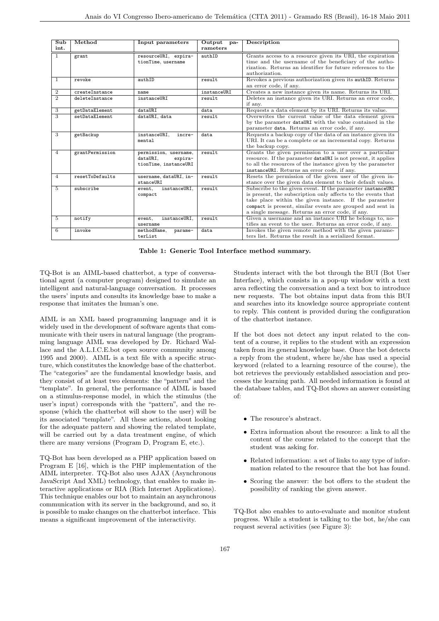| $\overline{\text{Sub}}$<br>int. | Method          | Input parameters                                                      | Output<br>pa-<br>rameters | Description                                                                                                                                                                                                                                                                                            |
|---------------------------------|-----------------|-----------------------------------------------------------------------|---------------------------|--------------------------------------------------------------------------------------------------------------------------------------------------------------------------------------------------------------------------------------------------------------------------------------------------------|
|                                 |                 |                                                                       |                           |                                                                                                                                                                                                                                                                                                        |
| $\overline{1}$                  | grant           | resourceURI, expira-<br>tionTime, username                            | authID                    | Grants access to a resource given its URI, the expiration<br>time and the username of the beneficiary of the autho-<br>rization. Returns an identifier for future references to the<br>authorization.                                                                                                  |
| $\mathbf{1}$                    | revoke          | authID                                                                | result                    | Revokes a previous authorization given its authID. Returns<br>an error code, if any.                                                                                                                                                                                                                   |
| $\boldsymbol{2}$                | createInstance  | name                                                                  | instanceURI               | Creates a new instance given its name. Returns its URI.                                                                                                                                                                                                                                                |
| $\overline{2}$                  | deleteInstance  | instanceURI                                                           | result                    | Deletes an instance given its URI. Returns an error code,<br>if any.                                                                                                                                                                                                                                   |
| 3                               | getDataElement  | dataURI                                                               | data                      | Requests a data element by its URI. Returns its value.                                                                                                                                                                                                                                                 |
| $\overline{3}$                  | setDataElement  | dataURI, data                                                         | result                    | Overwrites the current value of the data element given<br>by the parameter dataURI with the value contained in the<br>parameter data. Returns an error code, if any.                                                                                                                                   |
| 3                               | getBackup       | instanceURI,<br>incre-<br>mental                                      | data                      | Requests a backup copy of the data of an instance given its<br>URI. It can be a complete or an incremental copy. Returns<br>the backup copy.                                                                                                                                                           |
| $\overline{4}$                  | grantPermission | permission, username,<br>dataURI.<br>expira-<br>tionTime, instanceURI | result                    | Grants the given permission to a user over a particular<br>resource. If the parameter dataURI is not present, it applies<br>to all the resources of the instance given by the parameter<br>instanceURI. Returns an error code, if any.                                                                 |
| $\overline{4}$                  | resetToDefaults | username, dataURI, in-<br>stanceURI                                   | result                    | Resets the permission of the given user of the given in-<br>stance over the given data element to their default values.                                                                                                                                                                                |
| $\overline{5}$                  | subscribe       | instanceURI,<br>event,<br>compact                                     | result                    | Subscribe to the given event. If the parameter instanceURI<br>is present, the subscription only affects to the events that<br>take place within the given instance. If the parameter<br>compact is present, similar events are grouped and sent in<br>a single message. Returns an error code, if any. |
| 5                               | notify          | instanceURI,<br>event,<br>username                                    | result                    | Given a username and an instance URI he belongs to, no-<br>tifies an event to the user. Returns an error code, if any.                                                                                                                                                                                 |
| 6                               | invoke          | methodName,<br>parame-<br>terList                                     | data                      | Invokes the given remote method with the given parame-<br>ters list. Returns the result in a serialized format.                                                                                                                                                                                        |

Table 1: Generic Tool Interface method summary.

TQ-Bot is an AIML-based chatterbot, a type of conversational agent (a computer program) designed to simulate an intelligent and natural-language conversation. It processes the users' inputs and consults its knowledge base to make a response that imitates the human's one.

AIML is an XML based programming language and it is widely used in the development of software agents that communicate with their users in natural language (the programming language AIML was developed by Dr. Richard Wallace and the A.L.I.C.E.bot open source community among 1995 and 2000). AIML is a text file with a specific structure, which constitutes the knowledge base of the chatterbot. The "categories" are the fundamental knowledge basis, and they consist of at least two elements: the "pattern" and the "template". In general, the performance of AIML is based on a stimulus-response model, in which the stimulus (the user's input) corresponds with the "pattern", and the response (which the chatterbot will show to the user) will be its associated "template". All these actions, about looking for the adequate pattern and showing the related template, will be carried out by a data treatment engine, of which there are many versions (Program D, Program E, etc.).

TQ-Bot has been developed as a PHP application based on Program E [16], which is the PHP implementation of the AIML interpreter. TQ-Bot also uses AJAX (Asynchronous JavaScript And XML) technology, that enables to make interactive applications or RIA (Rich Internet Applications). This technique enables our bot to maintain an asynchronous communication with its server in the background, and so, it is possible to make changes on the chatterbot interface. This means a significant improvement of the interactivity.

Students interact with the bot through the BUI (Bot User Interface), which consists in a pop-up window with a text area reflecting the conversation and a text box to introduce new requests. The bot obtains input data from this BUI and searches into its knowledge source appropriate content to reply. This content is provided during the configuration of the chatterbot instance.

If the bot does not detect any input related to the content of a course, it replies to the student with an expression taken from its general knowledge base. Once the bot detects a reply from the student, where he/she has used a special keyword (related to a learning resource of the course), the bot retrieves the previously established association and processes the learning path. All needed information is found at the database tables, and TQ-Bot shows an answer consisting of:

- The resource's abstract.
- Extra information about the resource: a link to all the content of the course related to the concept that the student was asking for.
- Related information: a set of links to any type of information related to the resource that the bot has found.
- Scoring the answer: the bot offers to the student the possibility of ranking the given answer.

TQ-Bot also enables to auto-evaluate and monitor student progress. While a student is talking to the bot, he/she can request several activities (see Figure 3):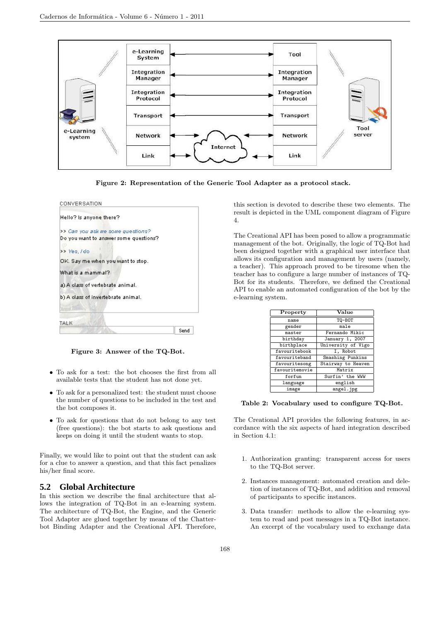

Figure 2: Representation of the Generic Tool Adapter as a protocol stack.



Figure 3: Answer of the TQ-Bot.

- To ask for a test: the bot chooses the first from all available tests that the student has not done yet.
- To ask for a personalized test: the student must choose the number of questions to be included in the test and the bot composes it.
- To ask for questions that do not belong to any test (free questions): the bot starts to ask questions and keeps on doing it until the student wants to stop.

Finally, we would like to point out that the student can ask for a clue to answer a question, and that this fact penalizes his/her final score.

# **5.2 Global Architecture**

In this section we describe the final architecture that allows the integration of TQ-Bot in an e-learning system. The architecture of TQ-Bot, the Engine, and the Generic Tool Adapter are glued together by means of the Chatterbot Binding Adapter and the Creational API. Therefore,

this section is devoted to describe these two elements. The result is depicted in the UML component diagram of Figure 4.

The Creational API has been posed to allow a programmatic management of the bot. Originally, the logic of TQ-Bot had been designed together with a graphical user interface that allows its configuration and management by users (namely, a teacher). This approach proved to be tiresome when the teacher has to configure a large number of instances of TQ-Bot for its students. Therefore, we defined the Creational API to enable an automated configuration of the bot by the e-learning system.

| Property       | Value              |  |  |
|----------------|--------------------|--|--|
| name           | TQ-BOT             |  |  |
| gender         | male               |  |  |
| master         | Fernando Mikic     |  |  |
| birthday       | January 1, 2007    |  |  |
| birthplace     | University of Vigo |  |  |
| favouritebook  | I, Robot           |  |  |
| favouriteband  | Smashing Punkins   |  |  |
| favouritesong  | Stairway to Heaven |  |  |
| favouritemovie | Matrix             |  |  |
| forfun         | Surfin' the WWW    |  |  |
| language       | english            |  |  |
| image          | angel.jpg          |  |  |

Table 2: Vocabulary used to configure TQ-Bot.

The Creational API provides the following features, in accordance with the six aspects of hard integration described in Section 4.1:

- 1. Authorization granting: transparent access for users to the TQ-Bot server.
- 2. Instances management: automated creation and deletion of instances of TQ-Bot, and addition and removal of participants to specific instances.
- 3. Data transfer: methods to allow the e-learning system to read and post messages in a TQ-Bot instance. An excerpt of the vocabulary used to exchange data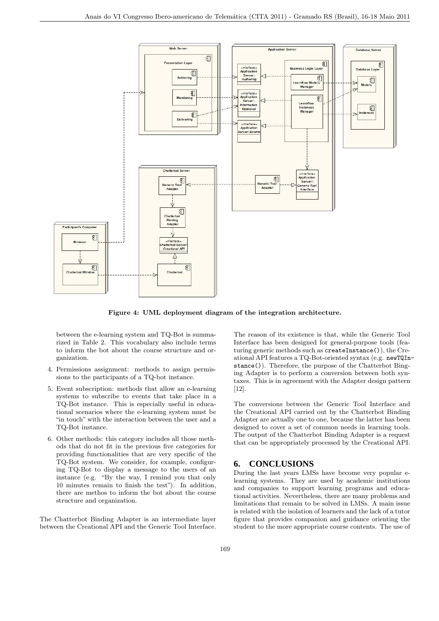

Figure 4: UML deployment diagram of the integration architecture.

between the e-learning system and TQ-Bot is summarized in Table 2. This vocabulary also include terms to inform the bot about the course structure and organization.

- 4. Permissions assignment: methods to assign permissions to the participants of a TQ-bot instance.
- 5. Event subscription: methods that allow an e-learning systems to subscribe to events that take place in a TQ-Bot instance. This is especially useful in educational scenarios where the e-learning system must be "in touch" with the interaction between the user and a TQ-Bot instance.
- 6. Other methods: this category includes all those methods that do not fit in the previous five categories for providing functionalities that are very specific of the TQ-Bot system. We consider, for example, configuring TQ-Bot to display a message to the users of an instance (e.g. "By the way, I remind you that only 10 minutes remain to finish the test"). In addition, there are methos to inform the bot about the course structure and organization.

The Chatterbot Binding Adapter is an intermediate layer between the Creational API and the Generic Tool Interface.

The reason of its existence is that, while the Generic Tool Interface has been designed for general-purpose tools (featuring generic methods such as createInstance()), the Creational API features a TQ-Bot-oriented syntax (e.g. newTQInstance()). Therefore, the purpose of the Chatterbot Binging Adapter is to perform a conversion between both syntaxes. This is in agreement with the Adapter design pattern [12].

The conversions between the Generic Tool Interface and the Creational API carried out by the Chatterbot Binding Adapter are actually one to one, because the latter has been designed to cover a set of common needs in learning tools. The output of the Chatterbot Binding Adapter is a request that can be appropriately processed by the Creational API.

### **6. CONCLUSIONS**

During the last years LMSs have become very popular elearning systems. They are used by academic institutions and companies to support learning programs and educational activities. Nevertheless, there are many problems and limitations that remain to be solved in LMSs. A main issue is related with the isolation of learners and the lack of a tutor figure that provides companion and guidance orienting the student to the more appropriate course contents. The use of